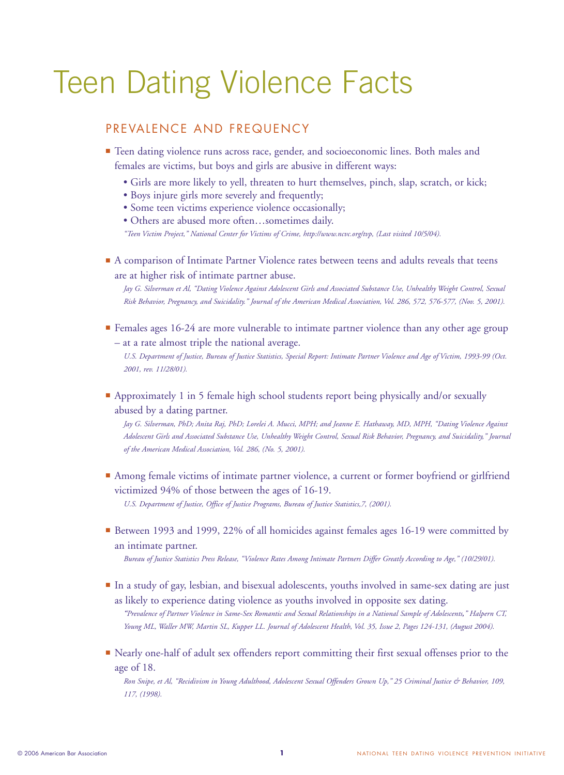# Teen Dating Violence Facts

#### PREVALENCE AND FREQUENCY

**■** Teen dating violence runs across race, gender, and socioeconomic lines. Both males and females are victims, but boys and girls are abusive in different ways:

- Girls are more likely to yell, threaten to hurt themselves, pinch, slap, scratch, or kick;
- Boys injure girls more severely and frequently;
- Some teen victims experience violence occasionally;

• Others are abused more often…sometimes daily. *"Teen Victim Project," National Center for Victims of Crime, http://www.ncvc.org/tvp, (Last visited 10/5/04).*

■ A comparison of Intimate Partner Violence rates between teens and adults reveals that teens are at higher risk of intimate partner abuse.

*Jay G. Silverman et Al, "Dating Violence Against Adolescent Girls and Associated Substance Use, Unhealthy Weight Control, Sexual Risk Behavior, Pregnancy, and Suicidality." Journal of the American Medical Association, Vol. 286, 572, 576-577, (Nov. 5, 2001).*

■ Females ages 16-24 are more vulnerable to intimate partner violence than any other age group – at a rate almost triple the national average.

*U.S. Department of Justice, Bureau of Justice Statistics, Special Report: Intimate Partner Violence and Age of Victim, 1993-99 (Oct. 2001, rev. 11/28/01).*

■ Approximately 1 in 5 female high school students report being physically and/or sexually abused by a dating partner.

*Jay G. Silverman, PhD; Anita Raj, PhD; Lorelei A. Mucci, MPH; and Jeanne E. Hathaway, MD, MPH, "Dating Violence Against Adolescent Girls and Associated Substance Use, Unhealthy Weight Control, Sexual Risk Behavior, Pregnancy, and Suicidality," Journal of the American Medical Association, Vol. 286, (No. 5, 2001).*

■ Among female victims of intimate partner violence, a current or former boyfriend or girlfriend victimized 94% of those between the ages of 16-19.

*U.S. Department of Justice, Office of Justice Programs, Bureau of Justice Statistics,7, (2001).*

■ Between 1993 and 1999, 22% of all homicides against females ages 16-19 were committed by an intimate partner.

*Bureau of Justice Statistics Press Release, "Violence Rates Among Intimate Partners Differ Greatly According to Age," (10/29/01).*

**■** In a study of gay, lesbian, and bisexual adolescents, youths involved in same-sex dating are just as likely to experience dating violence as youths involved in opposite sex dating.

*"Prevalence of Partner Violence in Same-Sex Romantic and Sexual Relationships in a National Sample of Adolescents," Halpern CT, Young ML, Waller MW, Martin SL, Kupper LL. Journal of Adolescent Health*, *Vol. 35, Issue 2, Pages 124-131, (August 2004).*

■ Nearly one-half of adult sex offenders report committing their first sexual offenses prior to the age of 18.

*Ron Snipe, et Al, "Recidivism in Young Adulthood, Adolescent Sexual Offenders Grown Up," 25 Criminal Justice & Behavior, 109, 117, (1998).*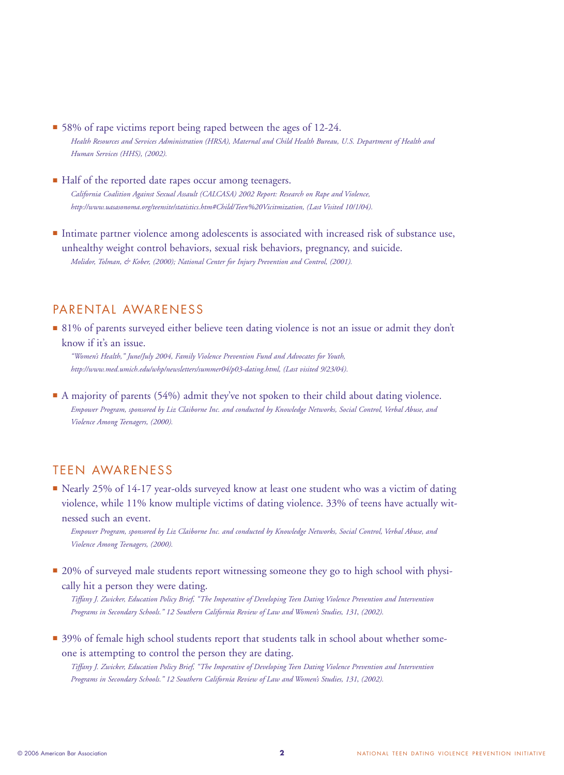- 58% of rape victims report being raped between the ages of 12-24. *Health Resources and Services Administration (HRSA), Maternal and Child Health Bureau, U.S. Department of Health and Human Services (HHS), (2002).*
- Half of the reported date rapes occur among teenagers. *California Coalition Against Sexual Assault (CALCASA) 2002 Report: Research on Rape and Violence, http://www.uasasonoma.org/teensite/statistics.htm#Child/Teen%20Vicitmization, (Last Visited 10/1/04).*
- Intimate partner violence among adolescents is associated with increased risk of substance use, unhealthy weight control behaviors, sexual risk behaviors, pregnancy, and suicide. *Molidor, Tolman, & Kober, (2000); National Center for Injury Prevention and Control, (2001).*

#### PARENTAL AWARENESS

■ 81% of parents surveyed either believe teen dating violence is not an issue or admit they don't know if it's an issue.

*"Women's Health," June/July 2004, Family Violence Prevention Fund and Advocates for Youth, http://www.med.umich.edu/whp/newsletters/summer04/p03-dating.html, (Last visited 9/23/04).*

■ A majority of parents (54%) admit they've not spoken to their child about dating violence. *Empower Program, sponsored by Liz Claiborne Inc. and conducted by Knowledge Networks, Social Control, Verbal Abuse, and Violence Among Teenagers, (2000).*

## TEEN AWARENESS

■ Nearly 25% of 14-17 year-olds surveyed know at least one student who was a victim of dating violence, while 11% know multiple victims of dating violence. 33% of teens have actually witnessed such an event.

*Empower Program, sponsored by Liz Claiborne Inc. and conducted by Knowledge Networks, Social Control, Verbal Abuse, and Violence Among Teenagers, (2000).* 

■ 20% of surveyed male students report witnessing someone they go to high school with physically hit a person they were dating.

*Tiffany J. Zwicker, Education Policy Brief, "The Imperative of Developing Teen Dating Violence Prevention and Intervention Programs in Secondary Schools." 12 Southern California Review of Law and Women's Studies, 131*, *(2002).*

■ 39% of female high school students report that students talk in school about whether someone is attempting to control the person they are dating.

*Tiffany J. Zwicker, Education Policy Brief, "The Imperative of Developing Teen Dating Violence Prevention and Intervention Programs in Secondary Schools." 12 Southern California Review of Law and Women's Studies, 131*, *(2002).*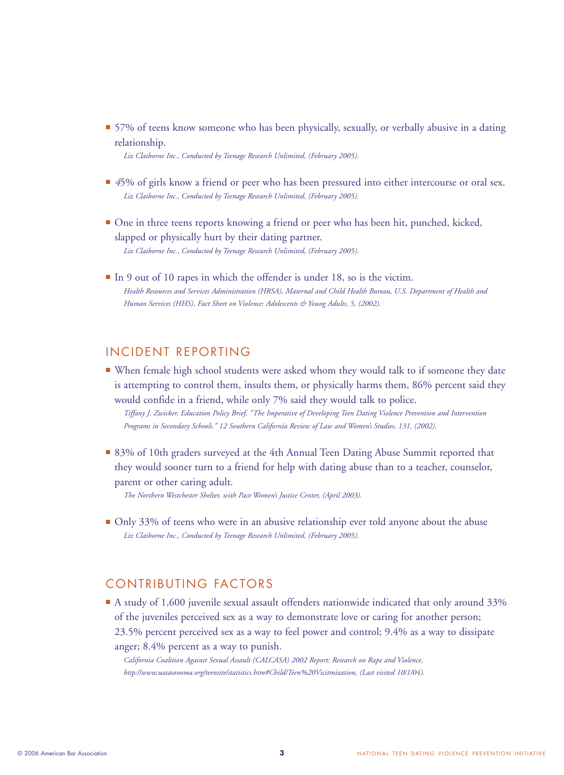■ 57% of teens know someone who has been physically, sexually, or verbally abusive in a dating relationship.

*Liz Claiborne Inc., Conducted by Teenage Research Unlimited, (February 2005).*

- 45% of girls know a friend or peer who has been pressured into either intercourse or oral sex. *Liz Claiborne Inc., Conducted by Teenage Research Unlimited, (February 2005).*
- **■** One in three teens reports knowing a friend or peer who has been hit, punched, kicked, slapped or physically hurt by their dating partner. *Liz Claiborne Inc., Conducted by Teenage Research Unlimited, (February 2005).*
- In 9 out of 10 rapes in which the offender is under 18, so is the victim. *Health Resources and Services Administration (HRSA), Maternal and Child Health Bureau, U.S. Department of Health and Human Services (HHS), Fact Sheet on Violence: Adolescents & Young Adults, 5, (2002).*

#### INCIDENT REPORTING

**■** When female high school students were asked whom they would talk to if someone they date is attempting to control them, insults them, or physically harms them, 86% percent said they would confide in a friend, while only 7% said they would talk to police.

*Tiffany J. Zwicker, Education Policy Brief, "The Imperative of Developing Teen Dating Violence Prevention and Intervention Programs in Secondary Schools." 12 Southern California Review of Law and Women's Studies, 131, (2002).*

■ 83% of 10th graders surveyed at the 4th Annual Teen Dating Abuse Summit reported that they would sooner turn to a friend for help with dating abuse than to a teacher, counselor, parent or other caring adult.

*The Northern Westchester Shelter, with Pace Women's Justice Center, (April 2003).*

■ Only 33% of teens who were in an abusive relationship ever told anyone about the abuse *Liz Claiborne Inc., Conducted by Teenage Research Unlimited, (February 2005).*

## CONTRIBUTING FACTORS

■ A study of 1,600 juvenile sexual assault offenders nationwide indicated that only around 33% of the juveniles perceived sex as a way to demonstrate love or caring for another person; 23.5% percent perceived sex as a way to feel power and control; 9.4% as a way to dissipate anger; 8.4% percent as a way to punish.

*California Coalition Against Sexual Assault (CALCASA) 2002 Report: Research on Rape and Violence, http://www.uasasonoma.org/teensite/statistics.htm#Child/Teen%20Vicitmization, (Last visited 10/1/04).*